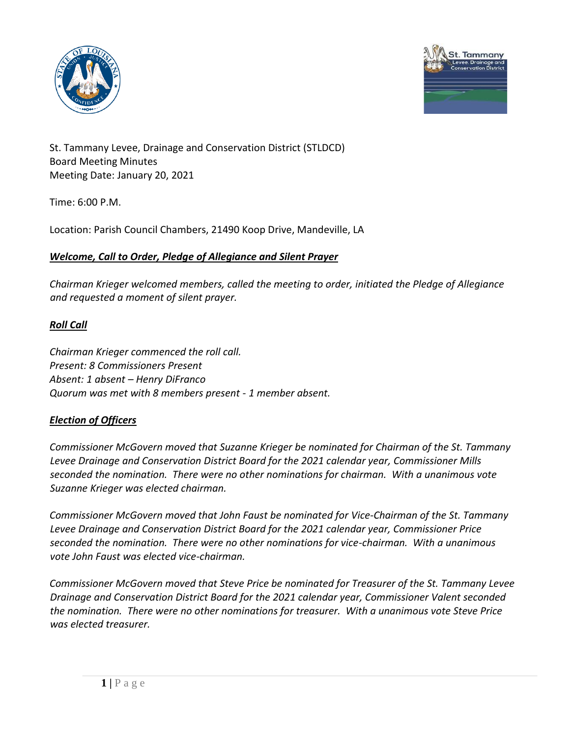



St. Tammany Levee, Drainage and Conservation District (STLDCD) Board Meeting Minutes Meeting Date: January 20, 2021

Time: 6:00 P.M.

Location: Parish Council Chambers, 21490 Koop Drive, Mandeville, LA

#### *Welcome, Call to Order, Pledge of Allegiance and Silent Prayer*

*Chairman Krieger welcomed members, called the meeting to order, initiated the Pledge of Allegiance and requested a moment of silent prayer.* 

# *Roll Call*

*Chairman Krieger commenced the roll call. Present: 8 Commissioners Present Absent: 1 absent – Henry DiFranco Quorum was met with 8 members present - 1 member absent.* 

# *Election of Officers*

*Commissioner McGovern moved that Suzanne Krieger be nominated for Chairman of the St. Tammany Levee Drainage and Conservation District Board for the 2021 calendar year, Commissioner Mills seconded the nomination. There were no other nominations for chairman. With a unanimous vote Suzanne Krieger was elected chairman.*

*Commissioner McGovern moved that John Faust be nominated for Vice-Chairman of the St. Tammany Levee Drainage and Conservation District Board for the 2021 calendar year, Commissioner Price seconded the nomination. There were no other nominations for vice-chairman. With a unanimous vote John Faust was elected vice-chairman.*

*Commissioner McGovern moved that Steve Price be nominated for Treasurer of the St. Tammany Levee Drainage and Conservation District Board for the 2021 calendar year, Commissioner Valent seconded the nomination. There were no other nominations for treasurer. With a unanimous vote Steve Price was elected treasurer.*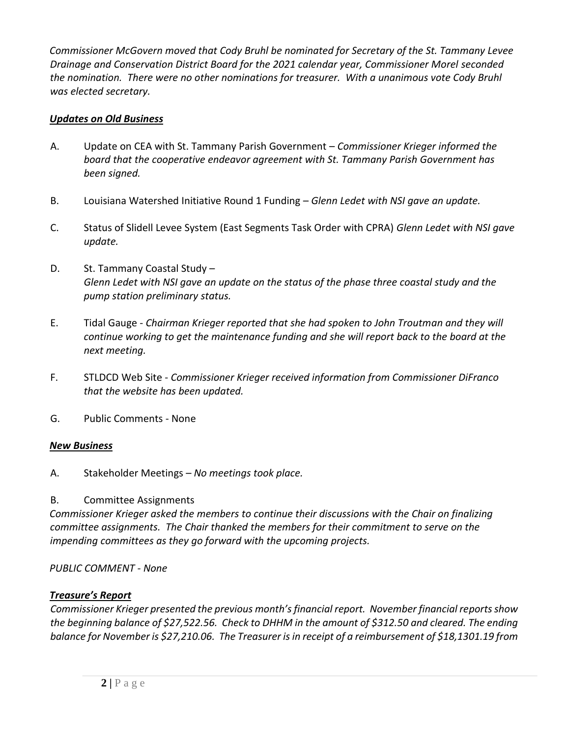*Commissioner McGovern moved that Cody Bruhl be nominated for Secretary of the St. Tammany Levee Drainage and Conservation District Board for the 2021 calendar year, Commissioner Morel seconded the nomination. There were no other nominations for treasurer. With a unanimous vote Cody Bruhl was elected secretary.*

## *Updates on Old Business*

- A. Update on CEA with St. Tammany Parish Government *Commissioner Krieger informed the board that the cooperative endeavor agreement with St. Tammany Parish Government has been signed.*
- B. Louisiana Watershed Initiative Round 1 Funding *Glenn Ledet with NSI gave an update.*
- C. Status of Slidell Levee System (East Segments Task Order with CPRA) *Glenn Ledet with NSI gave update.*
- D. St. Tammany Coastal Study *Glenn Ledet with NSI gave an update on the status of the phase three coastal study and the pump station preliminary status.*
- E. Tidal Gauge *Chairman Krieger reported that she had spoken to John Troutman and they will continue working to get the maintenance funding and she will report back to the board at the next meeting.*
- F. STLDCD Web Site *Commissioner Krieger received information from Commissioner DiFranco that the website has been updated.*
- G. Public Comments None

#### *New Business*

A. Stakeholder Meetings – *No meetings took place.* 

#### B. Committee Assignments

*Commissioner Krieger asked the members to continue their discussions with the Chair on finalizing committee assignments. The Chair thanked the members for their commitment to serve on the impending committees as they go forward with the upcoming projects.* 

#### *PUBLIC COMMENT - None*

#### *Treasure's Report*

*Commissioner Krieger presented the previous month's financial report. November financial reports show the beginning balance of \$27,522.56. Check to DHHM in the amount of \$312.50 and cleared. The ending balance for November is \$27,210.06. The Treasurer is in receipt of a reimbursement of \$18,1301.19 from*